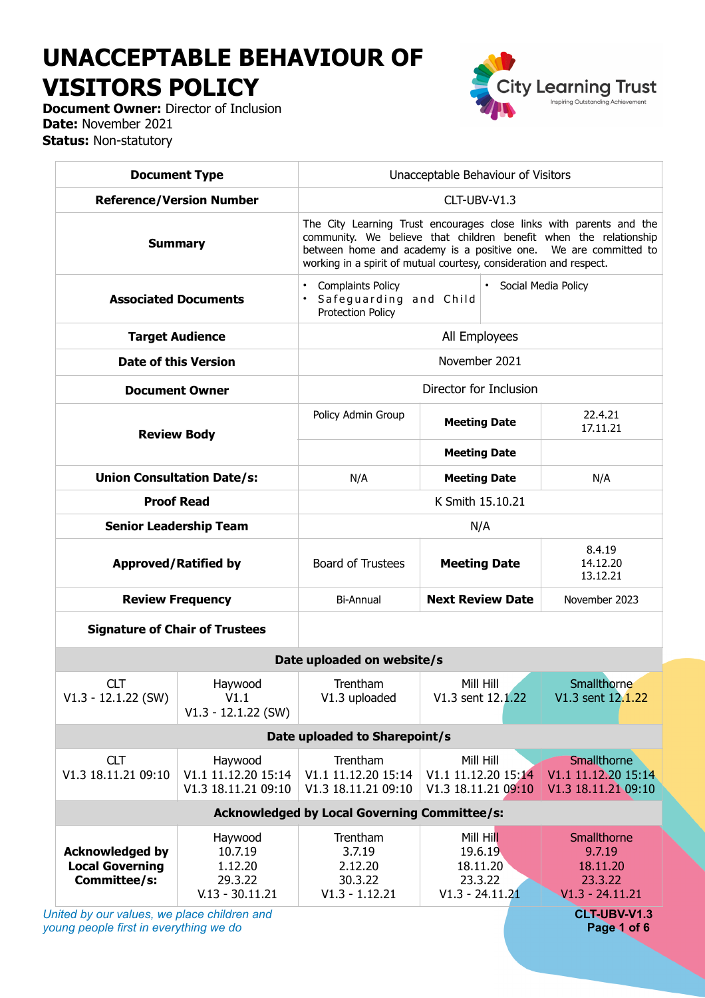# **UNACCEPTABLE BEHAVIOUR OF VISITORS POLICY**

**City Learning Trust** Inspiring Outstanding Achievement

**Document Owner:** Director of Inclusion **Date:** November 2021 **Status:** Non-statutory

| <b>Document Type</b>                                                                  |                                                               | Unacceptable Behaviour of Visitors                                                                                                                                                                                                                                                |                                                                  |                                                                   |  |
|---------------------------------------------------------------------------------------|---------------------------------------------------------------|-----------------------------------------------------------------------------------------------------------------------------------------------------------------------------------------------------------------------------------------------------------------------------------|------------------------------------------------------------------|-------------------------------------------------------------------|--|
| <b>Reference/Version Number</b>                                                       |                                                               | CLT-UBV-V1.3                                                                                                                                                                                                                                                                      |                                                                  |                                                                   |  |
| <b>Summary</b>                                                                        |                                                               | The City Learning Trust encourages close links with parents and the<br>community. We believe that children benefit when the relationship<br>between home and academy is a positive one. We are committed to<br>working in a spirit of mutual courtesy, consideration and respect. |                                                                  |                                                                   |  |
| <b>Associated Documents</b>                                                           |                                                               | <b>Complaints Policy</b><br>Social Media Policy<br>Safeguarding and Child<br><b>Protection Policy</b>                                                                                                                                                                             |                                                                  |                                                                   |  |
| <b>Target Audience</b>                                                                |                                                               | All Employees                                                                                                                                                                                                                                                                     |                                                                  |                                                                   |  |
| <b>Date of this Version</b>                                                           |                                                               |                                                                                                                                                                                                                                                                                   | November 2021                                                    |                                                                   |  |
| <b>Document Owner</b>                                                                 |                                                               | Director for Inclusion                                                                                                                                                                                                                                                            |                                                                  |                                                                   |  |
| <b>Review Body</b>                                                                    |                                                               | Policy Admin Group                                                                                                                                                                                                                                                                | <b>Meeting Date</b>                                              | 22.4.21<br>17.11.21                                               |  |
|                                                                                       |                                                               |                                                                                                                                                                                                                                                                                   | <b>Meeting Date</b>                                              |                                                                   |  |
| <b>Union Consultation Date/s:</b>                                                     |                                                               | N/A                                                                                                                                                                                                                                                                               | <b>Meeting Date</b>                                              | N/A                                                               |  |
| <b>Proof Read</b>                                                                     |                                                               | K Smith 15.10.21                                                                                                                                                                                                                                                                  |                                                                  |                                                                   |  |
| <b>Senior Leadership Team</b>                                                         |                                                               | N/A                                                                                                                                                                                                                                                                               |                                                                  |                                                                   |  |
| <b>Approved/Ratified by</b>                                                           |                                                               | <b>Board of Trustees</b>                                                                                                                                                                                                                                                          | <b>Meeting Date</b>                                              | 8.4.19<br>14.12.20<br>13.12.21                                    |  |
| <b>Review Frequency</b>                                                               |                                                               | Bi-Annual                                                                                                                                                                                                                                                                         | <b>Next Review Date</b>                                          | November 2023                                                     |  |
| <b>Signature of Chair of Trustees</b>                                                 |                                                               |                                                                                                                                                                                                                                                                                   |                                                                  |                                                                   |  |
|                                                                                       |                                                               | Date uploaded on website/s                                                                                                                                                                                                                                                        |                                                                  |                                                                   |  |
| <b>CLT</b><br>$V1.3 - 12.1.22$ (SW)                                                   | Haywood<br>V1.1<br>$V1.3 - 12.1.22$ (SW)                      | Trentham<br>V1.3 uploaded                                                                                                                                                                                                                                                         | Mill Hill<br>V1.3 sent 12.1.22                                   | Smallthorne<br>V1.3 sent 12.1.22                                  |  |
|                                                                                       |                                                               | Date uploaded to Sharepoint/s                                                                                                                                                                                                                                                     |                                                                  |                                                                   |  |
| <b>CLT</b><br>V1.3 18.11.21 09:10                                                     | Haywood<br>V1.1 11.12.20 15:14<br>V1.3 18.11.21 09:10         | Trentham<br>V1.1 11.12.20 15:14<br>V1.3 18.11.21 09:10                                                                                                                                                                                                                            | Mill Hill<br>V1.1 11.12.20 15:14<br>V1.3 18.11.21 09:10          | Smallthorne<br>V1.1 11.12.20 15:14<br>V1.3 18.11.21 09:10         |  |
| <b>Acknowledged by Local Governing Committee/s:</b>                                   |                                                               |                                                                                                                                                                                                                                                                                   |                                                                  |                                                                   |  |
| <b>Acknowledged by</b><br><b>Local Governing</b><br>Committee/s:                      | Haywood<br>10.7.19<br>1.12.20<br>29.3.22<br>$V.13 - 30.11.21$ | Trentham<br>3.7.19<br>2.12.20<br>30.3.22<br>$V1.3 - 1.12.21$                                                                                                                                                                                                                      | Mill Hill<br>19.6.19<br>18.11.20<br>23.3.22<br>$V1.3 - 24.11.21$ | Smallthorne<br>9.7.19<br>18.11.20<br>23.3.22<br>$V1.3 - 24.11.21$ |  |
| United by our values, we place children and<br>young people first in everything we do |                                                               |                                                                                                                                                                                                                                                                                   |                                                                  | CLT-UBV-V1.3<br>Page 1 of 6                                       |  |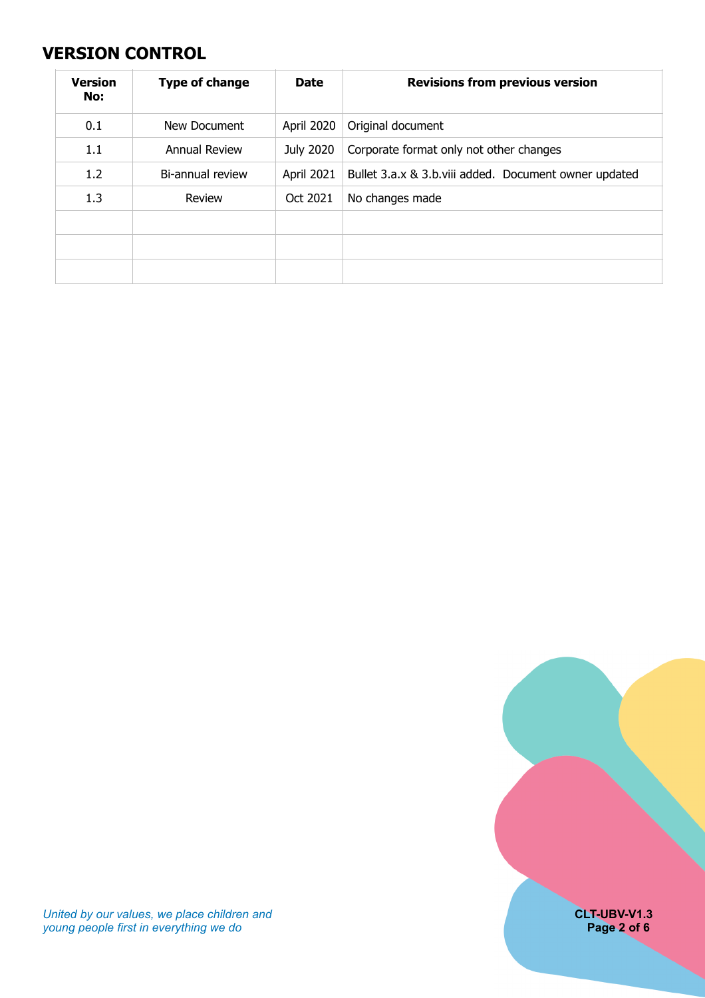#### <span id="page-1-0"></span>**VERSION CONTROL**

| <b>Version</b><br>No: | <b>Type of change</b> | <b>Date</b> | <b>Revisions from previous version</b>                |
|-----------------------|-----------------------|-------------|-------------------------------------------------------|
| 0.1                   | New Document          | April 2020  | Original document                                     |
| 1.1                   | Annual Review         | July 2020   | Corporate format only not other changes               |
| 1.2                   | Bi-annual review      | April 2021  | Bullet 3.a.x & 3.b.viii added. Document owner updated |
| 1.3                   | Review                | Oct 2021    | No changes made                                       |
|                       |                       |             |                                                       |
|                       |                       |             |                                                       |
|                       |                       |             |                                                       |



*United by our values, we place children and* **CLT-UBV-V1.3** *young people first in everything we do* **Page 2 of 6**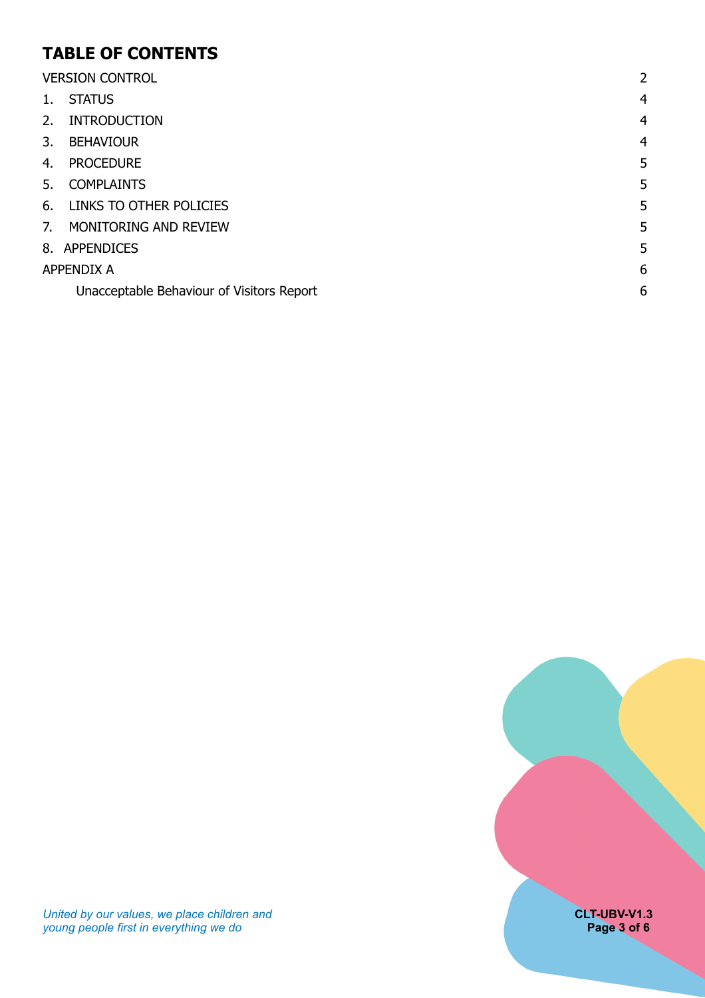#### **TABLE OF CONTENTS**

| <b>VERSION CONTROL</b> |                                           | 2              |
|------------------------|-------------------------------------------|----------------|
| 1.                     | <b>STATUS</b>                             | $\overline{4}$ |
| 2.                     | <b>INTRODUCTION</b>                       | $\overline{4}$ |
| 3.                     | <b>BEHAVIOUR</b>                          | $\overline{4}$ |
| 4.                     | <b>PROCEDURE</b>                          | 5              |
| 5.                     | <b>COMPLAINTS</b>                         | 5              |
| 6.                     | LINKS TO OTHER POLICIES                   | 5              |
| 7.                     | MONITORING AND REVIEW                     | 5              |
|                        | 8. APPENDICES                             | 5              |
| <b>APPENDIX A</b>      |                                           | 6              |
|                        | Unacceptable Behaviour of Visitors Report | 6              |

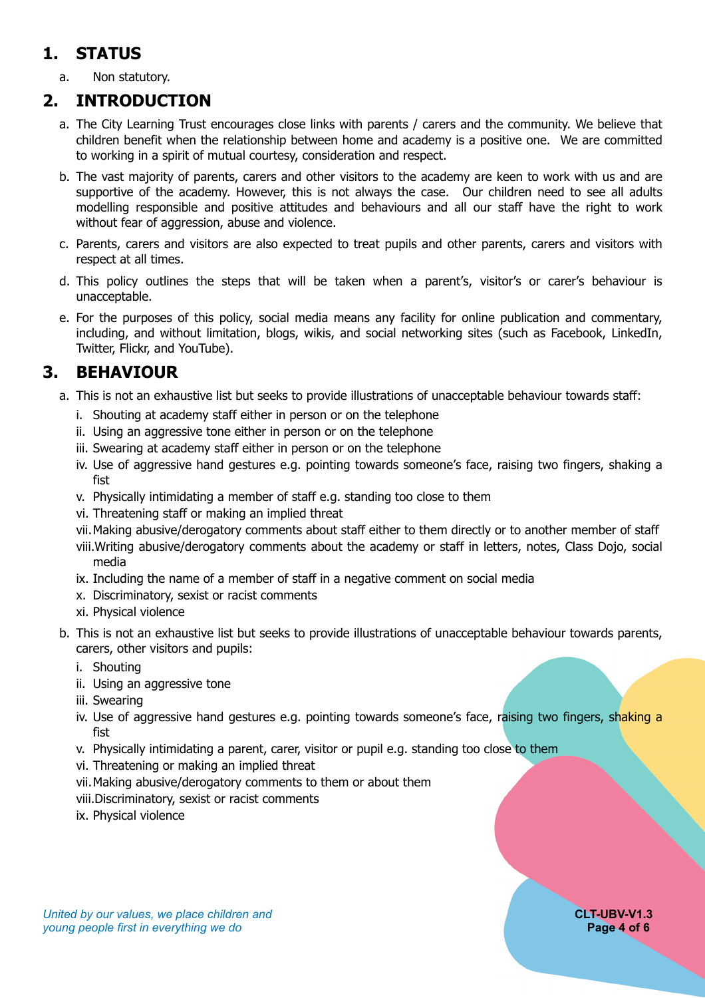### <span id="page-3-0"></span>**1. STATUS**

<span id="page-3-1"></span>a. Non statutory.

#### **2. INTRODUCTION**

- a. The City Learning Trust encourages close links with parents / carers and the community. We believe that children benefit when the relationship between home and academy is a positive one. We are committed to working in a spirit of mutual courtesy, consideration and respect.
- b. The vast majority of parents, carers and other visitors to the academy are keen to work with us and are supportive of the academy. However, this is not always the case. Our children need to see all adults modelling responsible and positive attitudes and behaviours and all our staff have the right to work without fear of aggression, abuse and violence.
- c. Parents, carers and visitors are also expected to treat pupils and other parents, carers and visitors with respect at all times.
- d. This policy outlines the steps that will be taken when a parent's, visitor's or carer's behaviour is unacceptable.
- e. For the purposes of this policy, social media means any facility for online publication and commentary, including, and without limitation, blogs, wikis, and social networking sites (such as Facebook, LinkedIn, Twitter, Flickr, and YouTube).

#### **3. BEHAVIOUR**

- <span id="page-3-2"></span>a. This is not an exhaustive list but seeks to provide illustrations of unacceptable behaviour towards staff:
	- i. Shouting at academy staff either in person or on the telephone
	- ii. Using an aggressive tone either in person or on the telephone
	- iii. Swearing at academy staff either in person or on the telephone
	- iv. Use of aggressive hand gestures e.g. pointing towards someone's face, raising two fingers, shaking a fist
	- v. Physically intimidating a member of staff e.g. standing too close to them
	- vi. Threatening staff or making an implied threat
	- vii.Making abusive/derogatory comments about staff either to them directly or to another member of staff
	- viii.Writing abusive/derogatory comments about the academy or staff in letters, notes, Class Dojo, social media
	- ix. Including the name of a member of staff in a negative comment on social media
	- x. Discriminatory, sexist or racist comments
	- xi. Physical violence
- b. This is not an exhaustive list but seeks to provide illustrations of unacceptable behaviour towards parents, carers, other visitors and pupils:
	- i. Shouting
	- ii. Using an aggressive tone
	- iii. Swearing
	- iv. Use of aggressive hand gestures e.g. pointing towards someone's face, raising two fingers, shaking a fist
	- v. Physically intimidating a parent, carer, visitor or pupil e.g. standing too close to them
	- vi. Threatening or making an implied threat
	- vii.Making abusive/derogatory comments to them or about them
	- viii.Discriminatory, sexist or racist comments
	- ix. Physical violence

#### *United by our values, we place children and* **CLT-UBV-V1.3** *young people first in everything we do* **Page 4 of 6 Page 4 of 6 Page 4 of 6**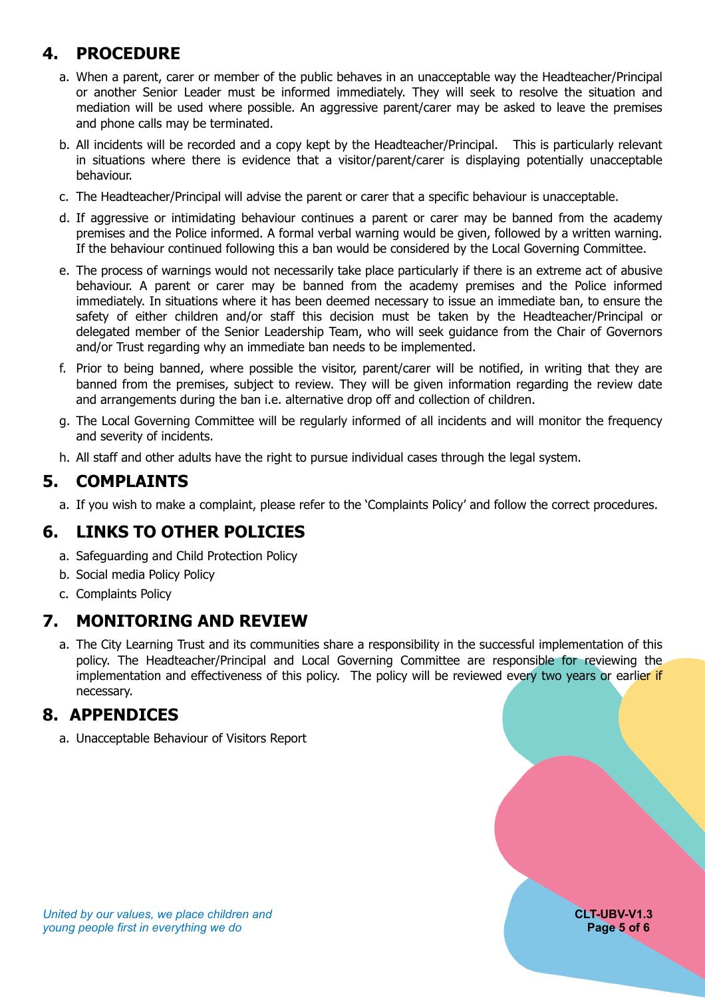### **4. PROCEDURE**

- <span id="page-4-0"></span>a. When a parent, carer or member of the public behaves in an unacceptable way the Headteacher/Principal or another Senior Leader must be informed immediately. They will seek to resolve the situation and mediation will be used where possible. An aggressive parent/carer may be asked to leave the premises and phone calls may be terminated.
- b. All incidents will be recorded and a copy kept by the Headteacher/Principal. This is particularly relevant in situations where there is evidence that a visitor/parent/carer is displaying potentially unacceptable behaviour.
- c. The Headteacher/Principal will advise the parent or carer that a specific behaviour is unacceptable.
- d. If aggressive or intimidating behaviour continues a parent or carer may be banned from the academy premises and the Police informed. A formal verbal warning would be given, followed by a written warning. If the behaviour continued following this a ban would be considered by the Local Governing Committee.
- e. The process of warnings would not necessarily take place particularly if there is an extreme act of abusive behaviour. A parent or carer may be banned from the academy premises and the Police informed immediately. In situations where it has been deemed necessary to issue an immediate ban, to ensure the safety of either children and/or staff this decision must be taken by the Headteacher/Principal or delegated member of the Senior Leadership Team, who will seek guidance from the Chair of Governors and/or Trust regarding why an immediate ban needs to be implemented.
- f. Prior to being banned, where possible the visitor, parent/carer will be notified, in writing that they are banned from the premises, subject to review. They will be given information regarding the review date and arrangements during the ban i.e. alternative drop off and collection of children.
- g. The Local Governing Committee will be regularly informed of all incidents and will monitor the frequency and severity of incidents.
- <span id="page-4-1"></span>h. All staff and other adults have the right to pursue individual cases through the legal system.

#### **5. COMPLAINTS**

<span id="page-4-2"></span>a. If you wish to make a complaint, please refer to the 'Complaints Policy' and follow the correct procedures.

#### **6. LINKS TO OTHER POLICIES**

- a. Safeguarding and Child Protection Policy
- b. Social media Policy Policy
- <span id="page-4-3"></span>c. Complaints Policy

#### **7. MONITORING AND REVIEW**

a. The City Learning Trust and its communities share a responsibility in the successful implementation of this policy. The Headteacher/Principal and Local Governing Committee are responsible for reviewing the implementation and effectiveness of this policy. The policy will be reviewed every two years or earlier if necessary.

#### <span id="page-4-4"></span>**8. APPENDICES**

a. Unacceptable Behaviour of Visitors Report